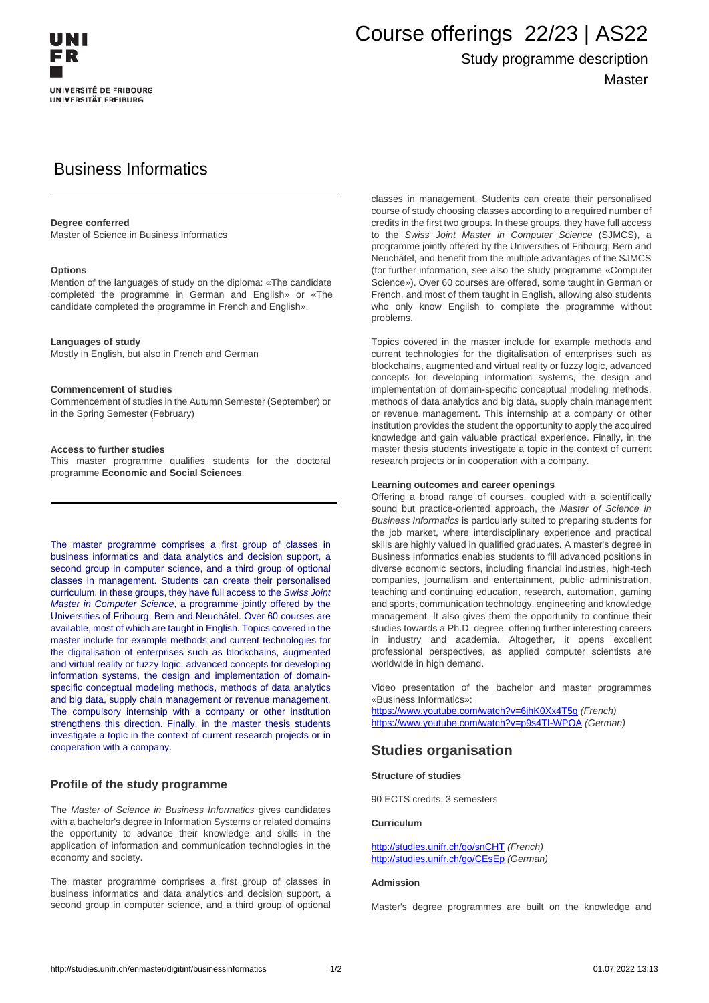

# Course offerings 22/23 | AS22

## Study programme description Master

## Business Informatics

#### **Degree conferred**

Master of Science in Business Informatics

#### **Options**

Mention of the languages of study on the diploma: «The candidate completed the programme in German and English» or «The candidate completed the programme in French and English».

#### **Languages of study**

Mostly in English, but also in French and German

#### **Commencement of studies**

Commencement of studies in the Autumn Semester (September) or in the Spring Semester (February)

#### **Access to further studies**

This master programme qualifies students for the doctoral programme **Economic and Social Sciences**.

The master programme comprises a first group of classes in business informatics and data analytics and decision support, a second group in computer science, and a third group of optional classes in management. Students can create their personalised curriculum. In these groups, they have full access to the Swiss Joint Master in Computer Science, a programme jointly offered by the Universities of Fribourg, Bern and Neuchâtel. Over 60 courses are available, most of which are taught in English. Topics covered in the master include for example methods and current technologies for the digitalisation of enterprises such as blockchains, augmented and virtual reality or fuzzy logic, advanced concepts for developing information systems, the design and implementation of domainspecific conceptual modeling methods, methods of data analytics and big data, supply chain management or revenue management. The compulsory internship with a company or other institution strengthens this direction. Finally, in the master thesis students investigate a topic in the context of current research projects or in cooperation with a company.

#### **Profile of the study programme**

The Master of Science in Business Informatics gives candidates with a bachelor's degree in Information Systems or related domains the opportunity to advance their knowledge and skills in the application of information and communication technologies in the economy and society.

The master programme comprises a first group of classes in business informatics and data analytics and decision support, a second group in computer science, and a third group of optional classes in management. Students can create their personalised course of study choosing classes according to a required number of credits in the first two groups. In these groups, they have full access to the Swiss Joint Master in Computer Science (SJMCS), a programme jointly offered by the Universities of Fribourg, Bern and Neuchâtel, and benefit from the multiple advantages of the SJMCS (for further information, see also the study programme «Computer Science»). Over 60 courses are offered, some taught in German or French, and most of them taught in English, allowing also students who only know English to complete the programme without problems.

Topics covered in the master include for example methods and current technologies for the digitalisation of enterprises such as blockchains, augmented and virtual reality or fuzzy logic, advanced concepts for developing information systems, the design and implementation of domain-specific conceptual modeling methods, methods of data analytics and big data, supply chain management or revenue management. This internship at a company or other institution provides the student the opportunity to apply the acquired knowledge and gain valuable practical experience. Finally, in the master thesis students investigate a topic in the context of current research projects or in cooperation with a company.

#### **Learning outcomes and career openings**

Offering a broad range of courses, coupled with a scientifically sound but practice-oriented approach, the Master of Science in Business Informatics is particularly suited to preparing students for the iob market, where interdisciplinary experience and practical skills are highly valued in qualified graduates. A master's degree in Business Informatics enables students to fill advanced positions in diverse economic sectors, including financial industries, high-tech companies, journalism and entertainment, public administration, teaching and continuing education, research, automation, gaming and sports, communication technology, engineering and knowledge management. It also gives them the opportunity to continue their studies towards a Ph.D. degree, offering further interesting careers in industry and academia. Altogether, it opens excellent professional perspectives, as applied computer scientists are worldwide in high demand.

Video presentation of the bachelor and master programmes «Business Informatics»:

<https://www.youtube.com/watch?v=6jhK0Xx4T5g> (French) https://www.youtube.com/watch?v=p9s4TI-WPOA (German)

### **Studies organisation**

#### **Structure of studies**

90 ECTS credits, 3 semesters

#### **Curriculum**

http://studies.unifr.ch/go/snCHT (French) http://studies.unifr.ch/go/CEsEp (German)

#### **Admission**

Master's degree programmes are built on the knowledge and